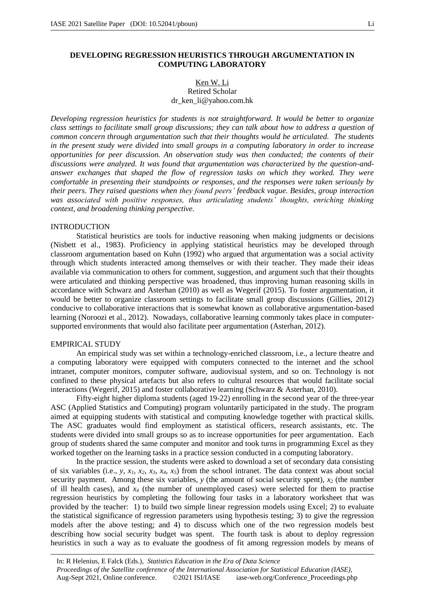# Ken W. Li Retired Scholar dr\_ken\_li@yahoo.com.hk

*Developing regression heuristics for students is not straightforward. It would be better to organize class settings to facilitate small group discussions; they can talk about how to address a question of common concern through argumentation such that their thoughts would be articulated. The students in the present study were divided into small groups in a computing laboratory in order to increase opportunities for peer discussion. An observation study was then conducted; the contents of their discussions were analyzed. It was found that argumentation was characterized by the question-andanswer exchanges that shaped the flow of regression tasks on which they worked. They were comfortable in presenting their standpoints or responses, and the responses were taken seriously by their peers. They raised questions when they found peers' feedback vague. Besides, group interaction*  was associated with positive responses, thus articulating students<sup>'</sup> thoughts, enriching thinking *context, and broadening thinking perspective.*

# **INTRODUCTION**

Statistical heuristics are tools for inductive reasoning when making judgments or decisions (Nisbett et al., 1983). Proficiency in applying statistical heuristics may be developed through classroom argumentation based on Kuhn (1992) who argued that argumentation was a social activity through which students interacted among themselves or with their teacher. They made their ideas available via communication to others for comment, suggestion, and argument such that their thoughts were articulated and thinking perspective was broadened, thus improving human reasoning skills in accordance with Schwarz and Asterhan (2010) as well as Wegerif (2015). To foster argumentation, it would be better to organize classroom settings to facilitate small group discussions (Gillies, 2012) conducive to collaborative interactions that is somewhat known as collaborative argumentation-based learning (Noroozi et al., 2012). Nowadays, collaborative learning commonly takes place in computersupported environments that would also facilitate peer argumentation (Asterhan, 2012).

## EMPIRICAL STUDY

An empirical study was set within a technology-enriched classroom, i.e., a lecture theatre and a computing laboratory were equipped with computers connected to the internet and the school intranet, computer monitors, computer software, audiovisual system, and so on. Technology is not confined to these physical artefacts but also refers to cultural resources that would facilitate social interactions (Wegerif, 2015) and foster collaborative learning (Schwarz & Asterhan, 2010).

Fifty-eight higher diploma students (aged 19-22) enrolling in the second year of the three-year ASC (Applied Statistics and Computing) program voluntarily participated in the study. The program aimed at equipping students with statistical and computing knowledge together with practical skills. The ASC graduates would find employment as statistical officers, research assistants, etc. The students were divided into small groups so as to increase opportunities for peer argumentation. Each group of students shared the same computer and monitor and took turns in programming Excel as they worked together on the learning tasks in a practice session conducted in a computing laboratory.

In the practice session, the students were asked to download a set of secondary data consisting of six variables (i.e., *y, x<sub>1</sub>, x<sub>2</sub>, x<sub>3</sub>, x<sub>4</sub>, x<sub>5</sub>) from the school intranet. The data context was about social* security payment. Among these six variables, *y* (the amount of social security spent), *x<sup>2</sup>* (the number of ill health cases), and  $x_4$  (the number of unemployed cases) were selected for them to practise regression heuristics by completing the following four tasks in a laboratory worksheet that was provided by the teacher: 1) to build two simple linear regression models using Excel; 2) to evaluate the statistical significance of regression parameters using hypothesis testing; 3) to give the regression models after the above testing; and 4) to discuss which one of the two regression models best describing how social security budget was spent. The fourth task is about to deploy regression heuristics in such a way as to evaluate the goodness of fit among regression models by means of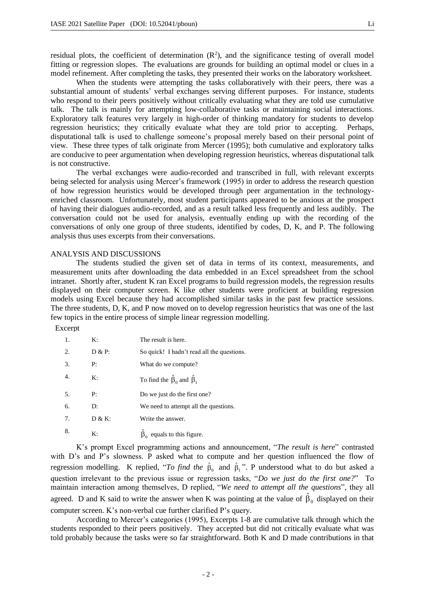residual plots, the coefficient of determination  $(R^2)$ , and the significance testing of overall model fitting or regression slopes. The evaluations are grounds for building an optimal model or clues in a model refinement. After completing the tasks, they presented their works on the laboratory worksheet.

When the students were attempting the tasks collaboratively with their peers, there was a substantial amount of students' verbal exchanges serving different purposes. For instance, students who respond to their peers positively without critically evaluating what they are told use cumulative talk. The talk is mainly for attempting low-collaborative tasks or maintaining social interactions. Exploratory talk features very largely in high-order of thinking mandatory for students to develop regression heuristics; they critically evaluate what they are told prior to accepting. Perhaps, disputational talk is used to challenge someone's proposal merely based on their personal point of view. These three types of talk originate from Mercer (1995); both cumulative and exploratory talks are conducive to peer argumentation when developing regression heuristics, whereas disputational talk is not constructive.

The verbal exchanges were audio-recorded and transcribed in full, with relevant excerpts being selected for analysis using Mercer's framework (1995) in order to address the research question of how regression heuristics would be developed through peer argumentation in the technologyenriched classroom. Unfortunately, most student participants appeared to be anxious at the prospect of having their dialogues audio-recorded, and as a result talked less frequently and less audibly. The conversation could not be used for analysis, eventually ending up with the recording of the conversations of only one group of three students, identified by codes, D, K, and P. The following analysis thus uses excerpts from their conversations.

# ANALYSIS AND DISCUSSIONS

The students studied the given set of data in terms of its context, measurements, and measurement units after downloading the data embedded in an Excel spreadsheet from the school intranet. Shortly after, student K ran Excel programs to build regression models, the regression results displayed on their computer screen. K like other students were proficient at building regression models using Excel because they had accomplished similar tasks in the past few practice sessions. The three students, D, K, and P now moved on to develop regression heuristics that was one of the last few topics in the entire process of simple linear regression modelling.

Excerpt

| -1.              | K:        | The result is here.                             |
|------------------|-----------|-------------------------------------------------|
| 2.               | $D & P$ : | So quick! I hadn't read all the questions.      |
| 3.               | P:        | What do we compute?                             |
| $\overline{4}$ . | K:        | To find the $\hat{\beta}_0$ and $\hat{\beta}_1$ |
| 5.               | P:        | Do we just do the first one?                    |
| 6.               | D:        | We need to attempt all the questions.           |
| 7.               | D & K:    | Write the answer.                               |
| 8.               | K:        | equals to this figure.                          |

K's prompt Excel programming actions and announcement, "*The result is here*" contrasted with D's and P's slowness. P asked what to compute and her question influenced the flow of regression modelling. K replied, "*To find the*  $\hat{\beta}_0$  and  $\hat{\beta}_1$ ". P understood what to do but asked a question irrelevant to the previous issue or regression tasks, "*Do we just do the first one?*" To maintain interaction among themselves, D replied, "*We need to attempt all the questions*", they all agreed. D and K said to write the answer when K was pointing at the value of  $\hat{\beta}_0$  displayed on their computer screen. K's non-verbal cue further clarified P's query.

According to Mercer's categories (1995), Excerpts 1-8 are cumulative talk through which the students responded to their peers positively. They accepted but did not critically evaluate what was told probably because the tasks were so far straightforward. Both K and D made contributions in that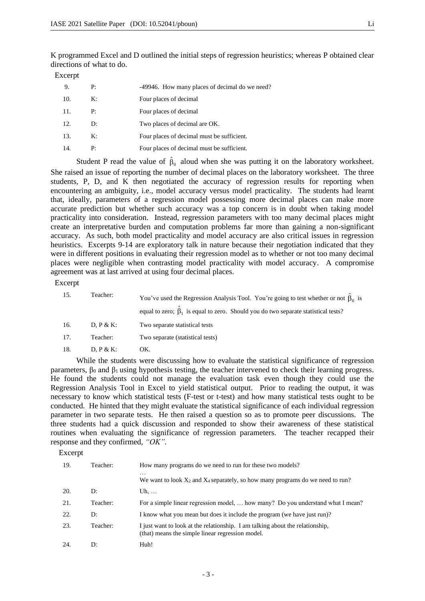K programmed Excel and D outlined the initial steps of regression heuristics; whereas P obtained clear directions of what to do.

Excerpt

| 9.  | P: | -49946. How many places of decimal do we need? |
|-----|----|------------------------------------------------|
| 10. | K: | Four places of decimal                         |
| 11. | P: | Four places of decimal                         |
| 12. | D: | Two places of decimal are OK.                  |
| 13. | K: | Four places of decimal must be sufficient.     |
| 14. | P: | Four places of decimal must be sufficient.     |

Student P read the value of  $\hat{\beta}_0$  aloud when she was putting it on the laboratory worksheet. She raised an issue of reporting the number of decimal places on the laboratory worksheet. The three students, P, D, and K then negotiated the accuracy of regression results for reporting when encountering an ambiguity, i.e., model accuracy versus model practicality. The students had learnt that, ideally, parameters of a regression model possessing more decimal places can make more accurate prediction but whether such accuracy was a top concern is in doubt when taking model practicality into consideration. Instead, regression parameters with too many decimal places might create an interpretative burden and computation problems far more than gaining a non-significant accuracy. As such, both model practicality and model accuracy are also critical issues in regression heuristics. Excerpts 9-14 are exploratory talk in nature because their negotiation indicated that they were in different positions in evaluating their regression model as to whether or not too many decimal places were negligible when contrasting model practicality with model accuracy. A compromise agreement was at last arrived at using four decimal places.

## Excerpt

| 15. | Teacher:  | You've used the Regression Analysis Tool. You're going to test whether or not $\beta_0$ is<br>equal to zero; $\beta_1$ is equal to zero. Should you do two separate statistical tests? |
|-----|-----------|----------------------------------------------------------------------------------------------------------------------------------------------------------------------------------------|
| 16. | D. P & K: | Two separate statistical tests                                                                                                                                                         |
| 17. | Teacher:  | Two separate (statistical tests)                                                                                                                                                       |
| 18. | D. P & K: | OK.                                                                                                                                                                                    |

While the students were discussing how to evaluate the statistical significance of regression parameters,  $β_0$  and  $β_1$  using hypothesis testing, the teacher intervened to check their learning progress. He found the students could not manage the evaluation task even though they could use the Regression Analysis Tool in Excel to yield statistical output. Prior to reading the output, it was necessary to know which statistical tests (F-test or t-test) and how many statistical tests ought to be conducted. He hinted that they might evaluate the statistical significance of each individual regression parameter in two separate tests. He then raised a question so as to promote peer discussions. The three students had a quick discussion and responded to show their awareness of these statistical routines when evaluating the significance of regression parameters. The teacher recapped their response and they confirmed, *"OK"*.

Excerpt

| 19. | Teacher: | How many programs do we need to run for these two models?                                                                         |
|-----|----------|-----------------------------------------------------------------------------------------------------------------------------------|
|     |          | $\cdots$<br>We want to look $X_2$ and $X_4$ separately, so how many programs do we need to run?                                   |
| 20. | D:       | Uh, $\dots$                                                                                                                       |
| 21. | Teacher: | For a simple linear regression model,  how many? Do you understand what I mean?                                                   |
| 22. | D:       | I know what you mean but does it include the program (we have just run)?                                                          |
| 23. | Teacher: | I just want to look at the relationship. I am talking about the relationship,<br>(that) means the simple linear regression model. |
| 24. | D:       | Huh!                                                                                                                              |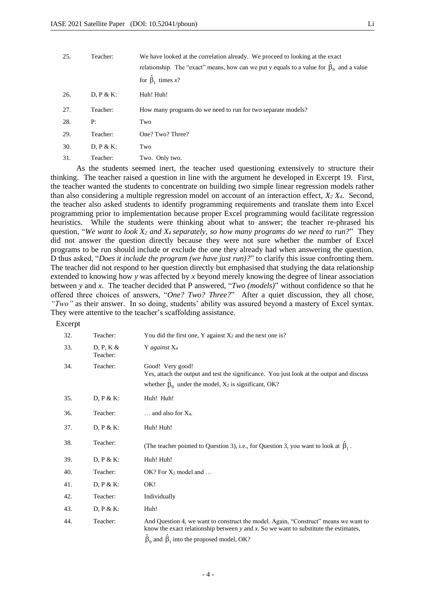| 25. | Teacher:     | We have looked at the correlation already. We proceed to looking at the exact<br>relationship. The "exact" means, how can we put y equals to a value for $\beta_0$ and a value<br>for $\hat{\beta}_1$ times x? |
|-----|--------------|----------------------------------------------------------------------------------------------------------------------------------------------------------------------------------------------------------------|
| 26. | $D, P & K$ : | Huh! Huh!                                                                                                                                                                                                      |
| 27. | Teacher:     | How many programs do we need to run for two separate models?                                                                                                                                                   |
| 28. | P:           | Two                                                                                                                                                                                                            |
| 29. | Teacher:     | One? Two? Three?                                                                                                                                                                                               |
| 30. | $D, P & K$ : | Two                                                                                                                                                                                                            |
| 31. | Teacher:     | Two. Only two.                                                                                                                                                                                                 |

As the students seemed inert, the teacher used questioning extensively to structure their thinking. The teacher raised a question in line with the argument he developed in Excerpt 19. First, the teacher wanted the students to concentrate on building two simple linear regression models rather than also considering a multiple regression model on account of an interaction effect, *X<sup>2</sup> X4*. Second, the teacher also asked students to identify programming requirements and translate them into Excel programming prior to implementation because proper Excel programming would facilitate regression heuristics. While the students were thinking about what to answer; the teacher re-phrased his question, "*We want to look X<sup>2</sup> and X4 separately, so how many programs do we need to run?*" They did not answer the question directly because they were not sure whether the number of Excel programs to be run should include or exclude the one they already had when answering the question. D thus asked, "*Does it include the program (we have just run)?*" to clarify this issue confronting them. The teacher did not respond to her question directly but emphasised that studying the data relationship extended to knowing how *y* was affected by *x* beyond merely knowing the degree of linear association between *y* and *x*. The teacher decided that P answered, "*Two (models)*" without confidence so that he offered three choices of answers, "*One? Two? Three?*" After a quiet discussion, they all chose, *"Two"* as their answer. In so doing, students' ability was assured beyond a mastery of Excel syntax. They were attentive to the teacher's scaffolding assistance.

### Excerpt

| 32. | Teacher:              | You did the first one, Y against $X_2$ and the next one is?                                                                                                                                                                              |
|-----|-----------------------|------------------------------------------------------------------------------------------------------------------------------------------------------------------------------------------------------------------------------------------|
| 33. | D, P, K &<br>Teacher: | Y against X <sub>4</sub>                                                                                                                                                                                                                 |
| 34. | Teacher:              | Good! Very good!<br>Yes, attach the output and test the significance. You just look at the output and discuss<br>whether $\beta_0$ under the model, $X_2$ is significant, OK?                                                            |
| 35. | $D, P & K$ :          | Huh! Huh!                                                                                                                                                                                                                                |
| 36. | Teacher:              | $\ldots$ and also for $X_4$ .                                                                                                                                                                                                            |
| 37. | D, $P & K$ :          | Huh! Huh!                                                                                                                                                                                                                                |
| 38. | Teacher:              | (The teacher pointed to Question 3), i.e., for Question 3, you want to look at $\beta_1$ .                                                                                                                                               |
| 39. | $D, P & K$ :          | Huh! Huh!                                                                                                                                                                                                                                |
| 40. | Teacher:              | $OK?$ For $X_2$ model and                                                                                                                                                                                                                |
| 41. | $D, P & K$ :          | OK!                                                                                                                                                                                                                                      |
| 42. | Teacher:              | Individually                                                                                                                                                                                                                             |
| 43. | $D, P & K$ :          | Huh!                                                                                                                                                                                                                                     |
| 44. | Teacher:              | And Question 4, we want to construct the model. Again, "Construct" means we want to<br>know the exact relationship between $y$ and $x$ . So we want to substitute the estimates,<br>$\beta_0$ and $\beta_1$ into the proposed model, OK? |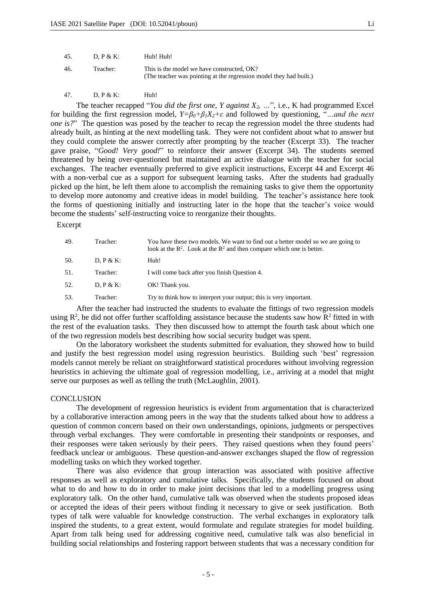| 45. | D. P & K: | Huh! Huh!                                                                                                        |
|-----|-----------|------------------------------------------------------------------------------------------------------------------|
| 46. | Teacher:  | This is the model we have constructed, OK?<br>(The teacher was pointing at the regression model they had built.) |

47. D, P & K: Huh!

The teacher recapped "*You did the first one, Y against X2, …*", i.e., K had programmed Excel for building the first regression model,  $Y = \beta_0 + \beta_1 X_2 + \epsilon$  and followed by questioning, "*... and the next one is?*" The question was posed by the teacher to recap the regression model the three students had already built, as hinting at the next modelling task. They were not confident about what to answer but they could complete the answer correctly after prompting by the teacher (Excerpt 33). The teacher gave praise, "*Good! Very good!*" to reinforce their answer (Excerpt 34). The students seemed threatened by being over-questioned but maintained an active dialogue with the teacher for social exchanges. The teacher eventually preferred to give explicit instructions, Excerpt 44 and Excerpt 46 with a non-verbal cue as a support for subsequent learning tasks. After the students had gradually picked up the hint, he left them alone to accomplish the remaining tasks to give them the opportunity to develop more autonomy and creative ideas in model building. The teacher's assistance here took the forms of questioning initially and instructing later in the hope that the teacher's voice would become the students' self-instructing voice to reorganize their thoughts.

Excerpt

| 49. | Teacher:  | You have these two models. We want to find out a better model so we are going to<br>look at the $R^2$ . Look at the $R^2$ and then compare which one is better. |
|-----|-----------|-----------------------------------------------------------------------------------------------------------------------------------------------------------------|
| 50. | D. P & K: | Huh!                                                                                                                                                            |
| 51. | Teacher:  | I will come back after you finish Question 4.                                                                                                                   |
| 52. | D. P & K: | OK! Thank you.                                                                                                                                                  |
| 53. | Teacher:  | Try to think how to interpret your output; this is very important.                                                                                              |

After the teacher had instructed the students to evaluate the fittings of two regression models using  $\mathbb{R}^2$ , he did not offer further scaffolding assistance because the students saw how  $\mathbb{R}^2$  fitted in with the rest of the evaluation tasks. They then discussed how to attempt the fourth task about which one of the two regression models best describing how social security budget was spent.

On the laboratory worksheet the students submitted for evaluation, they showed how to build and justify the best regression model using regression heuristics. Building such 'best' regression models cannot merely be reliant on straightforward statistical procedures without involving regression heuristics in achieving the ultimate goal of regression modelling, i.e., arriving at a model that might serve our purposes as well as telling the truth (McLaughlin, 2001).

#### **CONCLUSION**

The development of regression heuristics is evident from argumentation that is characterized by a collaborative interaction among peers in the way that the students talked about how to address a question of common concern based on their own understandings, opinions, judgments or perspectives through verbal exchanges. They were comfortable in presenting their standpoints or responses, and their responses were taken seriously by their peers. They raised questions when they found peers' feedback unclear or ambiguous. These question-and-answer exchanges shaped the flow of regression modelling tasks on which they worked together.

There was also evidence that group interaction was associated with positive affective responses as well as exploratory and cumulative talks. Specifically, the students focused on about what to do and how to do in order to make joint decisions that led to a modelling progress using exploratory talk. On the other hand, cumulative talk was observed when the students proposed ideas or accepted the ideas of their peers without finding it necessary to give or seek justification. Both types of talk were valuable for knowledge construction. The verbal exchanges in exploratory talk inspired the students, to a great extent, would formulate and regulate strategies for model building. Apart from talk being used for addressing cognitive need, cumulative talk was also beneficial in building social relationships and fostering rapport between students that was a necessary condition for

- 5 -